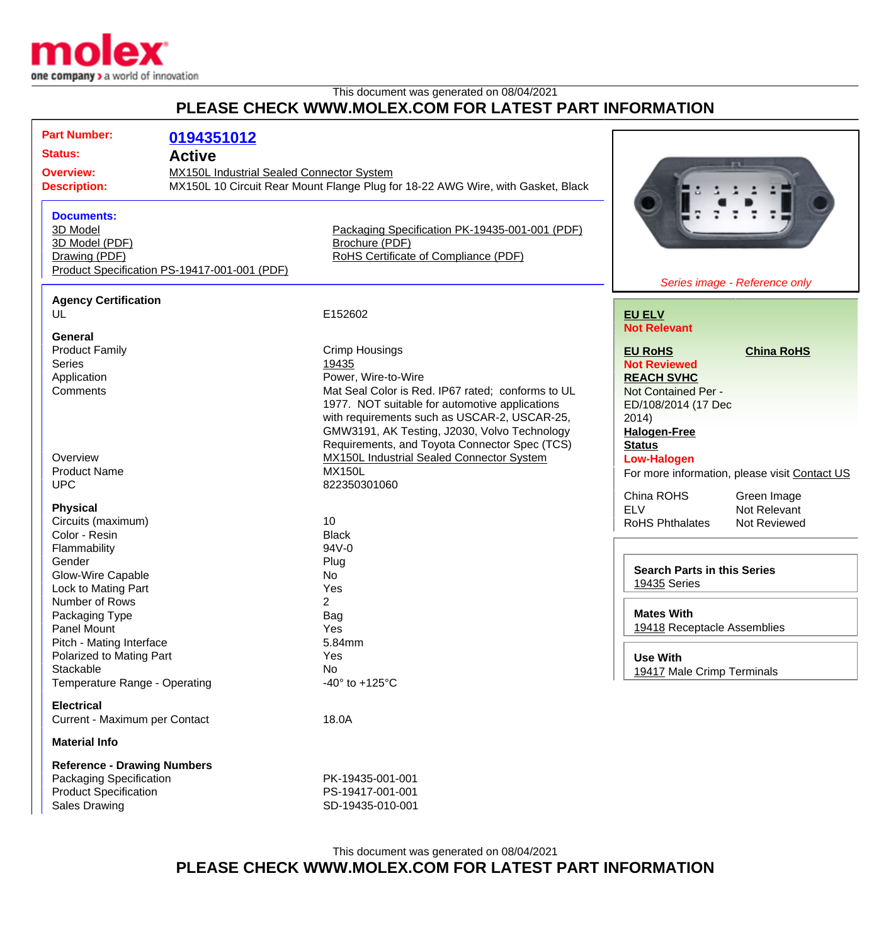

## This document was generated on 08/04/2021 **PLEASE CHECK WWW.MOLEX.COM FOR LATEST PART INFORMATION**

| <b>Part Number:</b><br><b>Status:</b><br><b>Overview:</b><br><b>Description:</b>                                             | 0194351012<br><b>Active</b><br>MX150L Industrial Sealed Connector System | MX150L 10 Circuit Rear Mount Flange Plug for 18-22 AWG Wire, with Gasket, Black                                                                                                                                                                              |                                                                                                                                                               |  |
|------------------------------------------------------------------------------------------------------------------------------|--------------------------------------------------------------------------|--------------------------------------------------------------------------------------------------------------------------------------------------------------------------------------------------------------------------------------------------------------|---------------------------------------------------------------------------------------------------------------------------------------------------------------|--|
| <b>Documents:</b><br>3D Model<br>3D Model (PDF)<br>Drawing (PDF)                                                             | Product Specification PS-19417-001-001 (PDF)                             | Packaging Specification PK-19435-001-001 (PDF)<br>Brochure (PDF)<br>RoHS Certificate of Compliance (PDF)                                                                                                                                                     | Series image - Reference only                                                                                                                                 |  |
| <b>Agency Certification</b>                                                                                                  |                                                                          |                                                                                                                                                                                                                                                              |                                                                                                                                                               |  |
| UL<br>General                                                                                                                |                                                                          | E152602                                                                                                                                                                                                                                                      | <b>EU ELV</b><br><b>Not Relevant</b>                                                                                                                          |  |
| <b>Product Family</b><br><b>Series</b><br>Application<br>Comments                                                            |                                                                          | <b>Crimp Housings</b><br>19435<br>Power, Wire-to-Wire<br>Mat Seal Color is Red. IP67 rated; conforms to UL<br>1977. NOT suitable for automotive applications<br>with requirements such as USCAR-2, USCAR-25,<br>GMW3191, AK Testing, J2030, Volvo Technology | <b>EU RoHS</b><br><b>China RoHS</b><br><b>Not Reviewed</b><br><b>REACH SVHC</b><br>Not Contained Per -<br>ED/108/2014 (17 Dec<br>2014)<br><b>Halogen-Free</b> |  |
| Overview<br><b>Product Name</b><br><b>UPC</b>                                                                                |                                                                          | Requirements, and Toyota Connector Spec (TCS)<br><b>MX150L Industrial Sealed Connector System</b><br><b>MX150L</b><br>822350301060                                                                                                                           | <b>Status</b><br><b>Low-Halogen</b><br>For more information, please visit Contact US<br>China ROHS<br>Green Image                                             |  |
| <b>Physical</b><br>Circuits (maximum)<br>Color - Resin<br>Flammability<br>Gender<br>Glow-Wire Capable<br>Lock to Mating Part |                                                                          | 10<br><b>Black</b><br>94V-0<br>Plug<br>No<br>Yes                                                                                                                                                                                                             | <b>ELV</b><br>Not Relevant<br><b>RoHS Phthalates</b><br>Not Reviewed<br><b>Search Parts in this Series</b><br>19435 Series                                    |  |
| Number of Rows<br>Packaging Type<br>Panel Mount<br>Pitch - Mating Interface<br>Polarized to Mating Part<br>Stackable         |                                                                          | $\overline{2}$<br>Bag<br>Yes<br>5.84mm<br>Yes<br>No                                                                                                                                                                                                          | <b>Mates With</b><br>19418 Receptacle Assemblies<br><b>Use With</b><br>19417 Male Crimp Terminals                                                             |  |
| Temperature Range - Operating<br><b>Electrical</b>                                                                           |                                                                          | -40 $\degree$ to +125 $\degree$ C                                                                                                                                                                                                                            |                                                                                                                                                               |  |
| Current - Maximum per Contact                                                                                                |                                                                          | 18.0A                                                                                                                                                                                                                                                        |                                                                                                                                                               |  |
| <b>Material Info</b>                                                                                                         |                                                                          |                                                                                                                                                                                                                                                              |                                                                                                                                                               |  |
| <b>Reference - Drawing Numbers</b><br>Packaging Specification<br><b>Product Specification</b><br>Sales Drawing               |                                                                          | PK-19435-001-001<br>PS-19417-001-001<br>SD-19435-010-001                                                                                                                                                                                                     |                                                                                                                                                               |  |